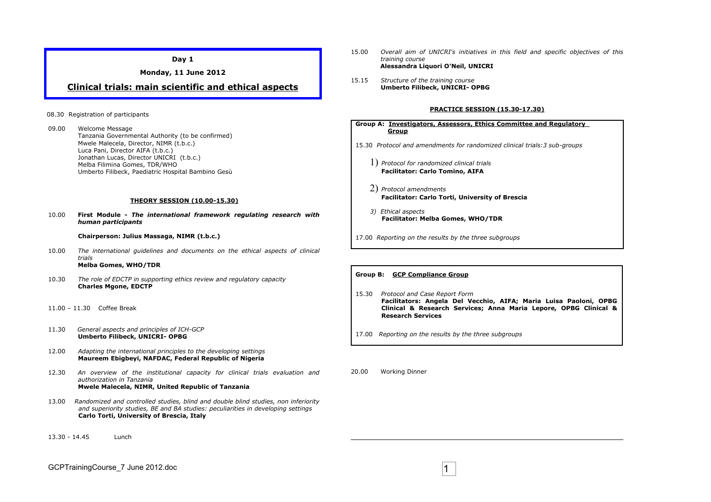**Day 1**

**Monday, 11 June 2012**

## **Clinical trials: main scientific and ethical aspects**

### 08.30 Registration of participants

09.00 Welcome Message Tanzania Governmental Authority (to be confirmed) Mwele Malecela, Director, NIMR (t.b.c.) Luca Pani, Director AIFA (t.b.c.) Jonathan Lucas, Director UNICRI (t.b.c.) Melba Filimina Gomes, TDR/WHO Umberto Filibeck, Paediatric Hospital Bambino Gesù

#### **THEORY SESSION (10.00-15.30)**

10.00 **First Module -** *The international framework regulating research with human participants*

### **Chairperson: Julius Massaga, NIMR (t.b.c.)**

- 10.00 *The international guidelines and documents on the ethical aspects of clinical trials*  **Melba Gomes, WHO/TDR**
- 10.30 *The role of EDCTP in supporting ethics review and regulatory capacity* **Charles Mgone, EDCTP**
- 11.00 11.30Coffee Break
- 11.30*General aspects and principles of ICH-GCP* **Umberto Filibeck, UNICRI- OPBG**
- 12.00 *Adapting the international principles to the developing settings* **Maureem Ebigbeyi, NAFDAC, Federal Republic of Nigeria**
- 12.30 *An overview of the institutional capacity for clinical trials evaluation and authorization in Tanzania* **Mwele Malecela, NIMR, United Republic of Tanzania**
- 13.00 *Randomized and controlled studies, blind and double blind studies, non inferiority and superiority studies, BE and BA studies: peculiarities in developing settings* **Carlo Torti, University of Brescia, Italy**
- 13.30 14.45 Lunch
- 15.00 *Overall aim of UNICRI's initiatives in this field and specific objectives of this training course* **Alessandra Liquori O'Neil, UNICRI**
- 15.15 *Structure of the training course* **Umberto Filibeck, UNICRI- OPBG**

### **PRACTICE SESSION (15.30-17.30)**

**Group A: Investigators, Assessors, Ethics Committee and Regulatory Group** 15.30 *Protocol and amendments for randomized clinical trials:3 sub-groups* 1) *Protocol for randomized clinical trials* **Facilitator: Carlo Tomino, AIFA** 2) *Protocol amendments* **Facilitator: Carlo Torti, University of Brescia**  *3) Ethical aspects*  **Facilitator: Melba Gomes, WHO/TDR** 17.00 *Reporting on the results by the three subgroups*

- 15.30 *Protocol and Case Report Form* **Facilitators: Angela Del Vecchio, AIFA; Maria Luisa Paoloni, OPBG Clinical & Research Services; Anna Maria Lepore, OPBG Clinical & Research Services**
- 17.00 *Reporting on the results by the three subgroups*
- 20.00 Working Dinner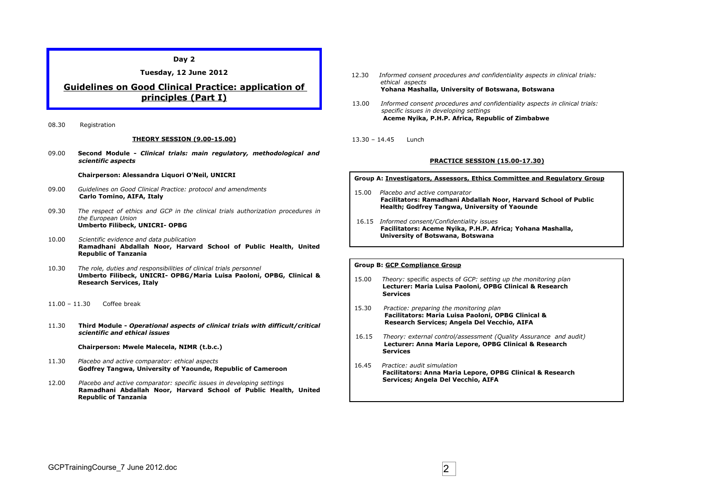## **Tuesday, 12 June 2012**

# **Guidelines on Good Clinical Practice: application of principles (Part I)**

08.30 Registration

#### **THEORY SESSION (9.00-15.00)**

09.00 **Second Module -** *Clinical trials: main regulatory, methodological and scientific aspects*

#### **Chairperson: Alessandra Liquori O'Neil, UNICRI**

- 09.00 *Guidelines on Good Clinical Practice: protocol and amendments*  **Carlo Tomino, AIFA, Italy**
- 09.30 *The respect of ethics and GCP in the clinical trials authorization procedures in the European Union* **Umberto Filibeck, UNICRI- OPBG**
- 10.00 *Scientific evidence and data publication* **Ramadhani Abdallah Noor, Harvard School of Public Health, United Republic of Tanzania**
- 10.30 *The role, duties and responsibilities of clinical trials personnel* **Umberto Filibeck, UNICRI- OPBG/Maria Luisa Paoloni, OPBG, Clinical & Research Services, Italy**
- 11.00 11.30 Coffee break
- 11.30 **Third Module -** *Operational aspects of clinical trials with difficult/critical scientific and ethical issues*

**Chairperson: Mwele Malecela, NIMR (t.b.c.)**

- 11.30 *Placebo and active comparator: ethical aspects* **Godfrey Tangwa, University of Yaounde, Republic of Cameroon**
- 12.00 *Placebo and active comparator: specific issues in developing settings* **Ramadhani Abdallah Noor, Harvard School of Public Health, United Republic of Tanzania**
- 12.30 *Informed consent procedures and confidentiality aspects in clinical trials: ethical aspects*  **Yohana Mashalla, University of Botswana, Botswana**
- 13.00 *Informed consent procedures and confidentiality aspects in clinical trials: specific issues in developing settings*  **Aceme Nyika, P.H.P. Africa, Republic of Zimbabwe**
- 13.30 14.45 Lunch

### **PRACTICE SESSION (15.00-17.30)**

**Group A: Investigators, Assessors, Ethics Committee and Regulatory Group**

- 15.00 *Placebo and active comparator*  **Facilitators: Ramadhani Abdallah Noor, Harvard School of Public Health; Godfrey Tangwa, University of Yaounde**
- 16.15 *Informed consent/Confidentiality issues*  **Facilitators: Aceme Nyika, P.H.P. Africa; Yohana Mashalla, University of Botswana, Botswana**

- 15.00 *Theory:* specific aspects of *GCP: setting up the monitoring plan*  **Lecturer: Maria Luisa Paoloni, OPBG Clinical & Research Services**
- 15.30*Practice: preparing the monitoring plan*  **Facilitators: Maria Luisa Paoloni, OPBG Clinical & Research Services; Angela Del Vecchio, AIFA**
- 16.15 *Theory: external control/assessment (Quality Assurance and audit)*  **Lecturer: Anna Maria Lepore, OPBG Clinical & Research Services**
- 16.45 *Practice: audit simulation*  **Facilitators: Anna Maria Lepore, OPBG Clinical & Research Services; Angela Del Vecchio, AIFA**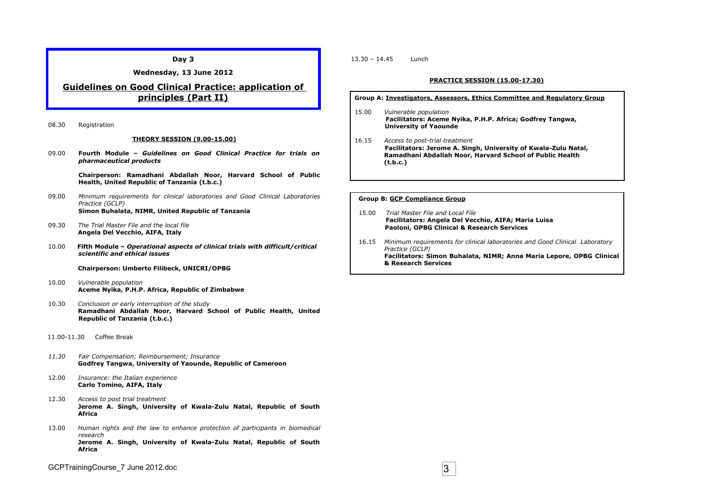**Day 3**

**Wednesday, 13 June 2012**

# **Guidelines on Good Clinical Practice: application of principles (Part II)**

08.30 Registration

#### **THEORY SESSION (9.00-15.00)**

09.00 **Fourth Module –** *Guidelines on Good Clinical Practice for trials on pharmaceutical products*

> **Chairperson: Ramadhani Abdallah Noor, Harvard School of Public Health, United Republic of Tanzania (t.b.c.)**

- 09.00 *Minimum requirements for clinical laboratories and Good Clinical Laboratories Practice (GCLP)* **Simon Buhalata, NIMR, United Republic of Tanzania**
- 09.30 *The Trial Master File and the local file* **Angela Del Vecchio, AIFA, Italy**
- 10.00**Fifth Module –** *Operational aspects of clinical trials with difficult/critical scientific and ethical issues*

**Chairperson: Umberto Filibeck, UNICRI/OPBG**

- 10.00 *Vulnerable population* **Aceme Nyika, P.H.P. Africa, Republic of Zimbabwe**
- 10.30 *Conclusion or early interruption of the study* **Ramadhani Abdallah Noor, Harvard School of Public Health, United Republic of Tanzania (t.b.c.)**
- 11.00-11.30 Coffee Break
- *11.30 Fair Compensation; Reimbursement; Insurance* **Godfrey Tangwa, University of Yaounde, Republic of Cameroon**
- 12.00 *Insurance: the Italian experience* **Carlo Tomino, AIFA, Italy**
- 12.30 *Access to post trial treatment* **Jerome A. Singh, University of Kwala-Zulu Natal, Republic of South Africa**
- 13.00 *Human rights and the law to enhance protection of participants in biomedical research* **Jerome A. Singh, University of Kwala-Zulu Natal, Republic of South Africa**

GCPTrainingCourse\_7 June 2012.doc 3

13.30 – 14.45 Lunch

#### **PRACTICE SESSION (15.00-17.30)**

**Group A: Investigators, Assessors, Ethics Committee and Regulatory Group**

- 15.00 *Vulnerable population* **Facilitators: Aceme Nyika, P.H.P. Africa; Godfrey Tangwa, University of Yaounde**
- 16.15 *Access to post-trial treatment* **Facilitators: Jerome A. Singh, University of Kwala-Zulu Natal, Ramadhani Abdallah Noor, Harvard School of Public Health (t.b.c.)**

- 15.00 *Trial Master File and Local File* **Facilitators: Angela Del Vecchio, AIFA; Maria Luisa Paoloni, OPBG Clinical & Research Services**
- 16.15 *Minimum requirements for clinical laboratories and Good Clinical Laboratory Practice (GCLP)* **Facilitators: Simon Buhalata, NIMR; Anna Maria Lepore, OPBG Clinical & Research Services**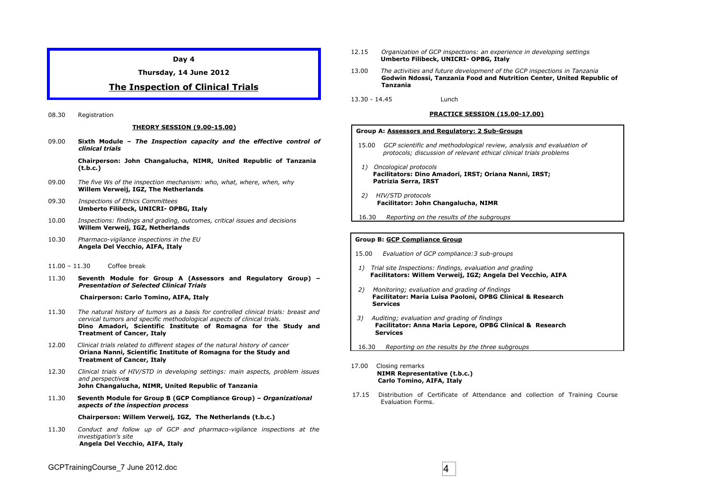**Day 4**

**Thursday, 14 June 2012**

## **The Inspection of Clinical Trials**

08.30 Registration

#### **THEORY SESSION (9.00-15.00)**

09.00 **Sixth Module –** *The Inspection capacity and the effective control of clinical trials*

> **Chairperson: John Changalucha, NIMR, United Republic of Tanzania (t.b.c.)**

- 09.00 *The five Ws of the inspection mechanism: who, what, where, when, why*  **Willem Verweij, IGZ, The Netherlands**
- 09.30 *Inspections of Ethics Committees* **Umberto Filibeck, UNICRI- OPBG, Italy**
- 10.00 *Inspections: findings and grading, outcomes, critical issues and decisions* **Willem Verweij, IGZ, Netherlands**
- 10.30 *Pharmaco-vigilance inspections in the EU* **Angela Del Vecchio, AIFA, Italy**
- 11.00 11.30 Coffee break
- 11.30 **Seventh Module for Group A (Assessors and Regulatory Group) –** *Presentation of Selected Clinical Trials*

#### **Chairperson: Carlo Tomino, AIFA, Italy**

- 11.30 *The natural history of tumors as a basis for controlled clinical trials: breast and cervical tumors and specific methodological aspects of clinical trials.* **Dino Amadori, Scientific Institute of Romagna for the Study and Treatment of Cancer, Italy**
- 12.00*Clinical trials related to different stages of the natural history of cancer* **Oriana Nanni, Scientific Institute of Romagna for the Study and Treatment of Cancer, Italy**
- 12.30 *Clinical trials of HIV/STD in developing settings: main aspects, problem issues and perspectives*  **John Changalucha, NIMR, United Republic of Tanzania**
- 11.30 **Seventh Module for Group B (GCP Compliance Group)** *Organizational aspects of the inspection process*

#### **Chairperson: Willem Verweij, IGZ, The Netherlands (t.b.c.)**

11.30 *Conduct and follow up of GCP and pharmaco-vigilance inspections at the investigation's site* **Angela Del Vecchio, AIFA, Italy**

- 12.15 *Organization of GCP inspections: an experience in developing settings*  **Umberto Filibeck, UNICRI- OPBG, Italy**
- 13.00 *The activities and future development of the GCP inspections in Tanzania* **Godwin Ndossi, Tanzania Food and Nutrition Center, United Republic of Tanzania**
- 13.30 14.45 Lunch

#### **PRACTICE SESSION (15.00-17.00)**

#### **Group A: Assessors and Regulatory: 2 Sub-Groups**

- 15.00 *GCP scientific and methodological review, analysis and evaluation of protocols; discussion of relevant ethical clinical trials problems*
- *1) Oncological protocols*  **Facilitators: Dino Amadori, IRST; Oriana Nanni, IRST; Patrizia Serra, IRST**
- *2) HIV/STD protocols*  **Facilitator: John Changalucha, NIMR**
- 16.30 *Reporting on the results of the subgroups*

- 15.00 *Evaluation of GCP compliance:3 sub-groups*
- *1) Trial site Inspections: findings, evaluation and grading*  **Facilitators: Willem Verweij, IGZ; Angela Del Vecchio, AIFA**
- *2) Monitoring; evaluation and grading of findings*  **Facilitator: Maria Luisa Paoloni, OPBG Clinical & Research Services**
- *3) Auditing; evaluation and grading of findings*  **Facilitator: Anna Maria Lepore, OPBG Clinical & Research Services**
- 16.30 *Reporting on the results by the three subgroups*
- 17.00 Closing remarks  **NIMR Representative (t.b.c.) Carlo Tomino, AIFA, Italy**
- 17.15 Distribution of Certificate of Attendance and collection of Training Course Evaluation Forms.